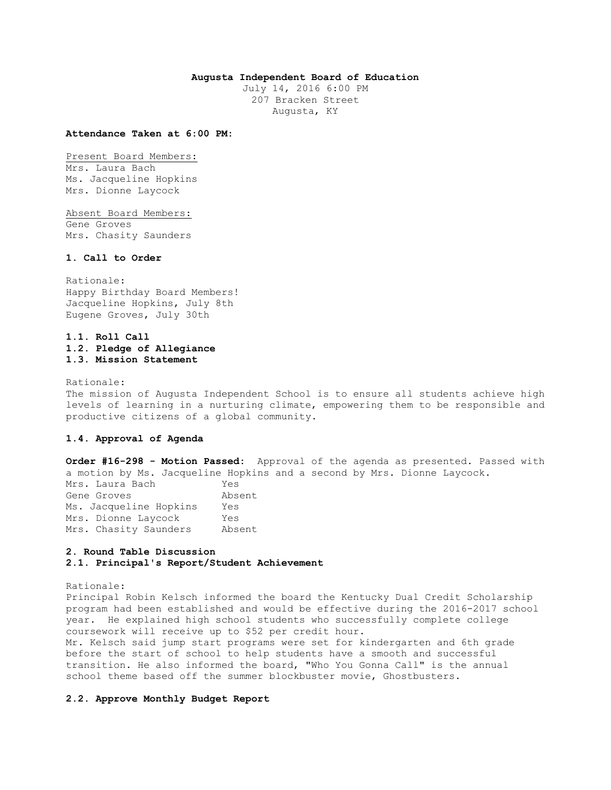## **Augusta Independent Board of Education**

July 14, 2016 6:00 PM 207 Bracken Street Augusta, KY

#### **Attendance Taken at 6:00 PM:**

Present Board Members: Mrs. Laura Bach Ms. Jacqueline Hopkins Mrs. Dionne Laycock

Absent Board Members: Gene Groves Mrs. Chasity Saunders

#### **1. Call to Order**

Rationale: Happy Birthday Board Members! Jacqueline Hopkins, July 8th Eugene Groves, July 30th

## **1.1. Roll Call 1.2. Pledge of Allegiance 1.3. Mission Statement**

Rationale: The mission of Augusta Independent School is to ensure all students achieve high levels of learning in a nurturing climate, empowering them to be responsible and productive citizens of a global community.

### **1.4. Approval of Agenda**

**Order #16-298 - Motion Passed:** Approval of the agenda as presented. Passed with a motion by Ms. Jacqueline Hopkins and a second by Mrs. Dionne Laycock. Mrs. Laura Bach Yes Gene Groves Absent Ms. Jacqueline Hopkins Yes Mrs. Dionne Laycock Yes Mrs. Chasity Saunders Absent

## **2. Round Table Discussion 2.1. Principal's Report/Student Achievement**

### Rationale:

Principal Robin Kelsch informed the board the Kentucky Dual Credit Scholarship program had been established and would be effective during the 2016-2017 school year. He explained high school students who successfully complete college coursework will receive up to \$52 per credit hour.

Mr. Kelsch said jump start programs were set for kindergarten and 6th grade before the start of school to help students have a smooth and successful transition. He also informed the board, "Who You Gonna Call" is the annual school theme based off the summer blockbuster movie, Ghostbusters.

## **2.2. Approve Monthly Budget Report**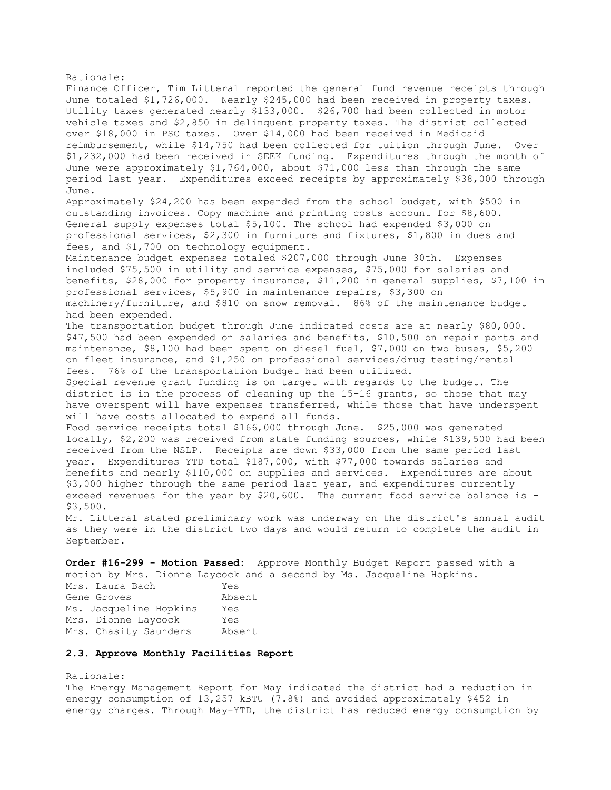Rationale: Finance Officer, Tim Litteral reported the general fund revenue receipts through June totaled \$1,726,000. Nearly \$245,000 had been received in property taxes. Utility taxes generated nearly \$133,000. \$26,700 had been collected in motor vehicle taxes and \$2,850 in delinquent property taxes. The district collected over \$18,000 in PSC taxes. Over \$14,000 had been received in Medicaid reimbursement, while \$14,750 had been collected for tuition through June. Over \$1,232,000 had been received in SEEK funding. Expenditures through the month of June were approximately \$1,764,000, about \$71,000 less than through the same period last year. Expenditures exceed receipts by approximately \$38,000 through June. Approximately \$24,200 has been expended from the school budget, with \$500 in outstanding invoices. Copy machine and printing costs account for \$8,600. General supply expenses total \$5,100. The school had expended \$3,000 on professional services, \$2,300 in furniture and fixtures, \$1,800 in dues and fees, and \$1,700 on technology equipment. Maintenance budget expenses totaled \$207,000 through June 30th. Expenses included \$75,500 in utility and service expenses, \$75,000 for salaries and benefits, \$28,000 for property insurance, \$11,200 in general supplies, \$7,100 in professional services, \$5,900 in maintenance repairs, \$3,300 on machinery/furniture, and \$810 on snow removal. 86% of the maintenance budget had been expended. The transportation budget through June indicated costs are at nearly \$80,000. \$47,500 had been expended on salaries and benefits, \$10,500 on repair parts and maintenance, \$8,100 had been spent on diesel fuel, \$7,000 on two buses, \$5,200 on fleet insurance, and \$1,250 on professional services/drug testing/rental fees. 76% of the transportation budget had been utilized. Special revenue grant funding is on target with regards to the budget. The district is in the process of cleaning up the 15-16 grants, so those that may have overspent will have expenses transferred, while those that have underspent will have costs allocated to expend all funds. Food service receipts total \$166,000 through June. \$25,000 was generated locally, \$2,200 was received from state funding sources, while \$139,500 had been received from the NSLP. Receipts are down \$33,000 from the same period last year. Expenditures YTD total \$187,000, with \$77,000 towards salaries and benefits and nearly \$110,000 on supplies and services. Expenditures are about \$3,000 higher through the same period last year, and expenditures currently exceed revenues for the year by \$20,600. The current food service balance is - \$3,500. Mr. Litteral stated preliminary work was underway on the district's annual audit as they were in the district two days and would return to complete the audit in September.

**Order #16-299 - Motion Passed:** Approve Monthly Budget Report passed with a motion by Mrs. Dionne Laycock and a second by Ms. Jacqueline Hopkins. Mrs. Laura Bach Yes

Gene Groves Absent Ms. Jacqueline Hopkins Yes Mrs. Dionne Laycock Yes Mrs. Chasity Saunders Absent

## **2.3. Approve Monthly Facilities Report**

Rationale: The Energy Management Report for May indicated the district had a reduction in energy consumption of 13,257 kBTU (7.8%) and avoided approximately \$452 in energy charges. Through May-YTD, the district has reduced energy consumption by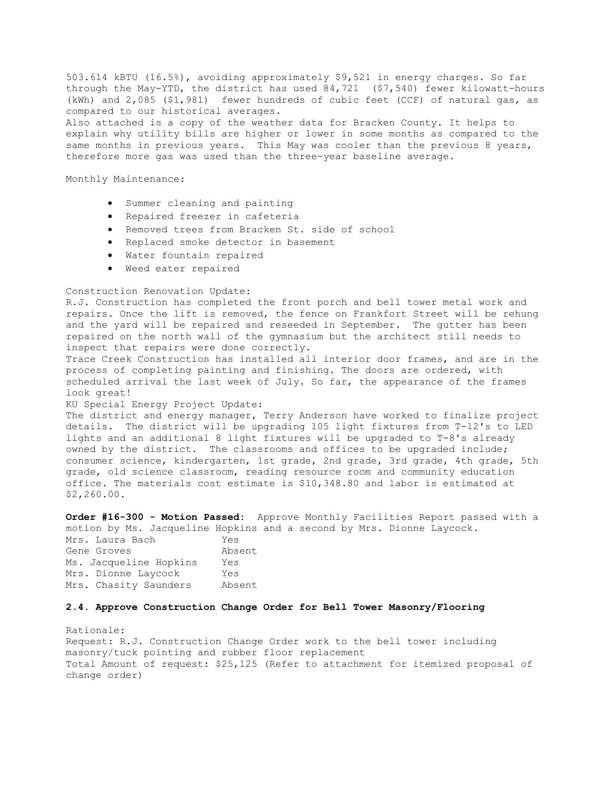503.614 kBTU (16.5%), avoiding approximately \$9,521 in energy charges. So far through the May-YTD, the district has used 84,721 (\$7,540) fewer kilowatt-hours (kWh) and 2,085 (\$1,981) fewer hundreds of cubic feet (CCF) of natural gas, as compared to our historical averages. Also attached is a copy of the weather data for Bracken County. It helps to explain why utility bills are higher or lower in some months as compared to the same months in previous years. This May was cooler than the previous 8 years, therefore more gas was used than the three-year baseline average.

Monthly Maintenance:

- Summer cleaning and painting
- Repaired freezer in cafeteria
- Removed trees from Bracken St. side of school
- Replaced smoke detector in basement
- Water fountain repaired
- Weed eater repaired

### Construction Renovation Update:

R.J. Construction has completed the front porch and bell tower metal work and repairs. Once the lift is removed, the fence on Frankfort Street will be rehung and the yard will be repaired and reseeded in September. The gutter has been repaired on the north wall of the gymnasium but the architect still needs to inspect that repairs were done correctly.

Trace Creek Construction has installed all interior door frames, and are in the process of completing painting and finishing. The doors are ordered, with scheduled arrival the last week of July. So far, the appearance of the frames look great!

#### KU Special Energy Project Update:

The district and energy manager, Terry Anderson have worked to finalize project details. The district will be upgrading 105 light fixtures from T-12's to LED lights and an additional 8 light fixtures will be upgraded to T-8's already owned by the district. The classrooms and offices to be upgraded include; consumer science, kindergarten, 1st grade, 2nd grade, 3rd grade, 4th grade, 5th grade, old science classroom, reading resource room and community education office. The materials cost estimate is \$10,348.80 and labor is estimated at \$2,260.00.

**Order #16-300 - Motion Passed:** Approve Monthly Facilities Report passed with a motion by Ms. Jacqueline Hopkins and a second by Mrs. Dionne Laycock.

| Mrs. Laura Bach        | Yes    |
|------------------------|--------|
| Gene Groves            | Absent |
| Ms. Jacqueline Hopkins | Yes    |
| Mrs. Dionne Laycock    | Yes    |
| Mrs. Chasity Saunders  | Absent |

#### **2.4. Approve Construction Change Order for Bell Tower Masonry/Flooring**

Rationale: Request: R.J. Construction Change Order work to the bell tower including masonry/tuck pointing and rubber floor replacement Total Amount of request: \$25,125 (Refer to attachment for itemized proposal of change order)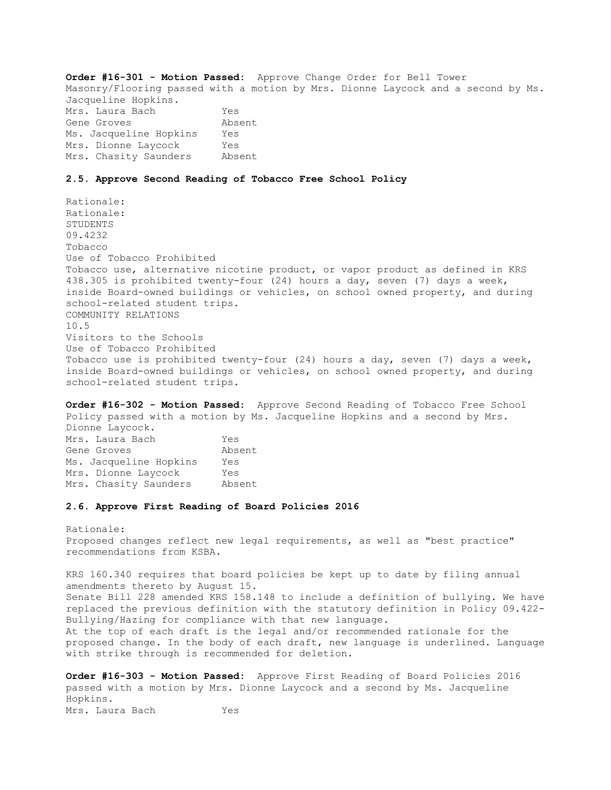**Order #16-301 - Motion Passed:** Approve Change Order for Bell Tower Masonry/Flooring passed with a motion by Mrs. Dionne Laycock and a second by Ms. Jacqueline Hopkins. Mrs. Laura Bach Yes Gene Groves Absent Ms. Jacqueline Hopkins Yes Mrs. Dionne Laycock Yes Mrs. Chasity Saunders Absent

#### **2.5. Approve Second Reading of Tobacco Free School Policy**

Rationale: Rationale: STUDENTS 09.4232 Tobacco Use of Tobacco Prohibited Tobacco use, alternative nicotine product, or vapor product as defined in KRS 438.305 is prohibited twenty-four (24) hours a day, seven (7) days a week, inside Board-owned buildings or vehicles, on school owned property, and during school-related student trips. COMMUNITY RELATIONS 10.5 Visitors to the Schools Use of Tobacco Prohibited Tobacco use is prohibited twenty-four (24) hours a day, seven (7) days a week, inside Board-owned buildings or vehicles, on school owned property, and during school-related student trips.

**Order #16-302 - Motion Passed:** Approve Second Reading of Tobacco Free School Policy passed with a motion by Ms. Jacqueline Hopkins and a second by Mrs. Dionne Laycock. Mrs. Laura Bach Yes Gene Groves Absent Ms. Jacqueline Hopkins Yes Mrs. Dionne Laycock Yes Mrs. Chasity Saunders Absent

#### **2.6. Approve First Reading of Board Policies 2016**

Rationale: Proposed changes reflect new legal requirements, as well as "best practice" recommendations from KSBA.

KRS 160.340 requires that board policies be kept up to date by filing annual amendments thereto by August 15. Senate Bill 228 amended KRS 158.148 to include a definition of bullying. We have replaced the previous definition with the statutory definition in Policy 09.422- Bullying/Hazing for compliance with that new language. At the top of each draft is the legal and/or recommended rationale for the proposed change. In the body of each draft, new language is underlined. Language with strike through is recommended for deletion.

**Order #16-303 - Motion Passed:** Approve First Reading of Board Policies 2016 passed with a motion by Mrs. Dionne Laycock and a second by Ms. Jacqueline Hopkins. Mrs. Laura Bach Yes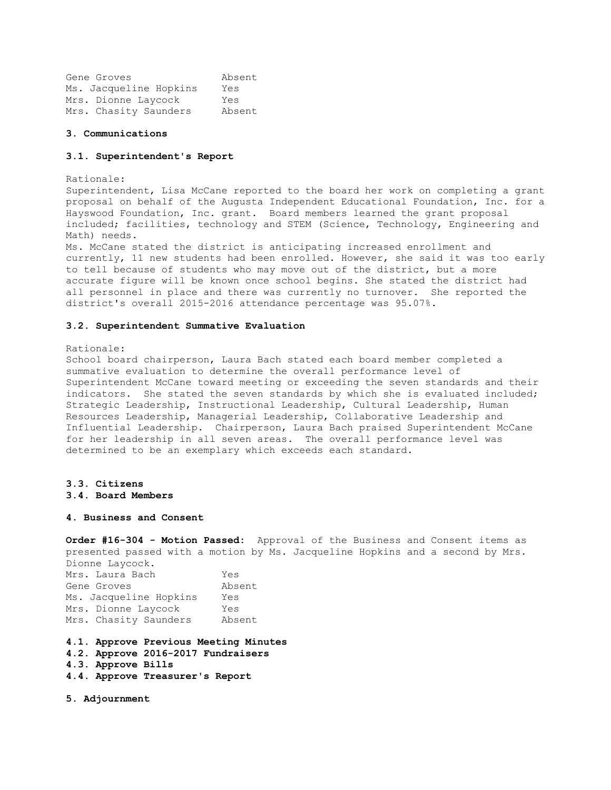Gene Groves Absent Ms. Jacqueline Hopkins Yes Mrs. Dionne Laycock Yes Mrs. Chasity Saunders Absent

#### **3. Communications**

#### **3.1. Superintendent's Report**

#### Rationale:

Superintendent, Lisa McCane reported to the board her work on completing a grant proposal on behalf of the Augusta Independent Educational Foundation, Inc. for a Hayswood Foundation, Inc. grant. Board members learned the grant proposal included; facilities, technology and STEM (Science, Technology, Engineering and Math) needs.

Ms. McCane stated the district is anticipating increased enrollment and currently, 11 new students had been enrolled. However, she said it was too early to tell because of students who may move out of the district, but a more accurate figure will be known once school begins. She stated the district had all personnel in place and there was currently no turnover. She reported the district's overall 2015-2016 attendance percentage was 95.07%.

#### **3.2. Superintendent Summative Evaluation**

#### Rationale:

School board chairperson, Laura Bach stated each board member completed a summative evaluation to determine the overall performance level of Superintendent McCane toward meeting or exceeding the seven standards and their indicators. She stated the seven standards by which she is evaluated included; Strategic Leadership, Instructional Leadership, Cultural Leadership, Human Resources Leadership, Managerial Leadership, Collaborative Leadership and Influential Leadership. Chairperson, Laura Bach praised Superintendent McCane for her leadership in all seven areas. The overall performance level was determined to be an exemplary which exceeds each standard.

# **3.3. Citizens**

**3.4. Board Members** 

#### **4. Business and Consent**

**Order #16-304 - Motion Passed:** Approval of the Business and Consent items as presented passed with a motion by Ms. Jacqueline Hopkins and a second by Mrs.

Dionne Laycock. Mrs. Laura Bach Yes Gene Groves Absent Ms. Jacqueline Hopkins Yes Mrs. Dionne Laycock Yes Mrs. Chasity Saunders Absent

- **4.1. Approve Previous Meeting Minutes**
- **4.2. Approve 2016-2017 Fundraisers**
- **4.3. Approve Bills**
- **4.4. Approve Treasurer's Report**

**5. Adjournment**